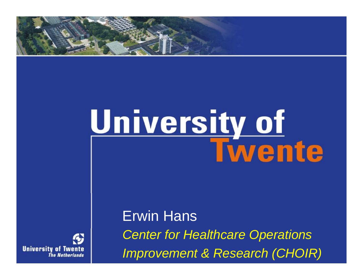

# University of<br>Twente



*<i>improvement* **&** *Research**(CHOIR)* Erwin Hans *Center for Healthcare Operations*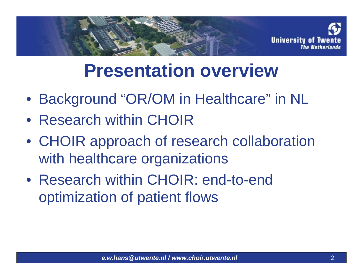

# **Presentation overview**

- Background "OR/OM in Healthcare" in NL
- Research within CHOIR
- CHOIR approach of research collaboration with healthcare organizations
- Research within CHOIR: end-to-end optimization of patient flows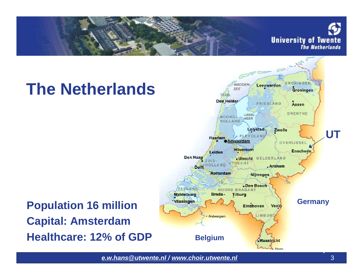

# **The Netherlands**

#### ZECLAND NOORD BRABANI Middelburg Breda-**Tilburg Wissingen Germany Population 16 million** Eindhoven Venio **LIMBUR** Antwerpen **Capital: Amsterdam Healthcare: 12% of GDP Belgium** Maastricht

*[e.w.hans@utwente.nl](mailto:e.w.hans@utwente.nl) / [www.choir.utwente.nl](http://www.choir.utwente.nl)* 3

**UT**

**GRONINGEN** 

**Assen** 

DRENTHE

OVERIJSSEL

Enschede.

Groningen

Leeuwarden

FRIESLAND

Zwolle

. Arnhem

Alicen

 $256$ 

LISSEL

Lelystad

. Utrecht GELDERLAND

**Nijmegen** 

Den Bosch

MEER

Den Helder-

**NOORD** 

**Haarlem** 

Leiden

OLLAND

**Rotterdam** 

Den Haag

Delft

HOLLAND

**TIT** 

*<u>Amsterdam</u>* 

**Hilversum**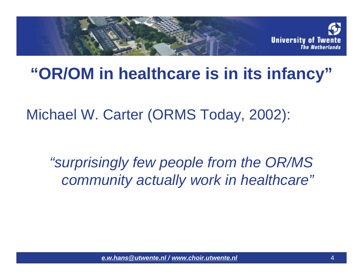

#### **"OR/OM in healthcare is in its infancy"**

Michael W. Carter (ORMS Today, 2002):

*"surprisingly few people from the OR/MS community actually work in healthcare"*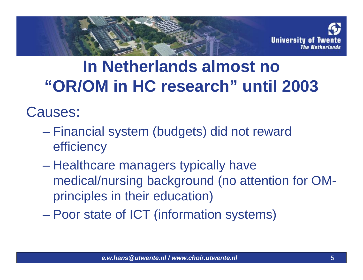

### **In Netherlands almost no "OR/OM in HC research" until 2003**

Causes:

- Financial system (budgets) did not reward efficiency
- Healthcare managers typically have medical/nursing background (no attention for OMprinciples in their education)
- Poor state of ICT (information systems)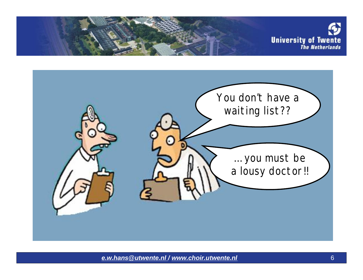

You don't have a waiting list?? … you must be a lousy doctor!!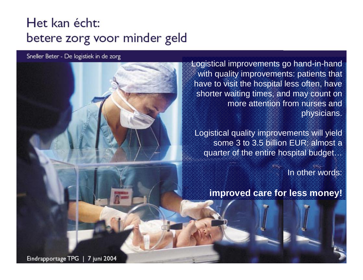#### Het kan écht: betere zorg voor minder geld

Sneller Beter - De logistiek in de zorg

Logistical improvements go hand-in-hand with quality improvements: patients that have to visit the hospital less often, have shorter waiting times, and may count on more attention from nurses and physicians.

Logistical quality improvements will yield some 3 to 3.5 billion EUR: almost a quarter of the entire hospital budget…

In other words:

**improved care for less money!**

*[e.w.hans@utwente.nl](mailto:e.w.hans@utwente.nl) / [www.choir.utwente.nl](http://www.choir.utwente.nl)* 7 Eindrapportage TPG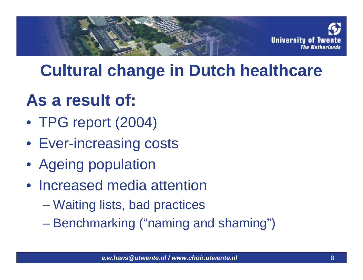

### **Cultural change in Dutch healthcare**

## **As a result of:**

- TPG report (2004)
- Ever-increasing costs
- Ageing population
- Increased media attention
	- Waiting lists, bad practices
	- Benchmarking ("naming and shaming")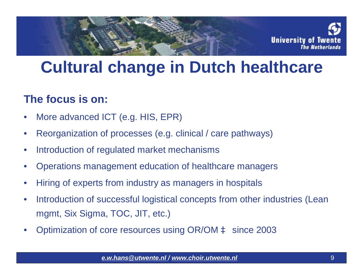

#### **Cultural change in Dutch healthcare**

#### **The focus is on:**

- More advanced ICT (e.g. HIS, EPR)
- Reorganization of processes (e.g. clinical / care pathways)
- Introduction of regulated market mechanisms
- Operations management education of healthcare managers
- Hiring of experts from industry as managers in hospitals
- Introduction of successful logistical concepts from other industries (Lean mgmt, Six Sigma, TOC, JIT, etc.)
- Optimization of core resources using OR/OM à since 2003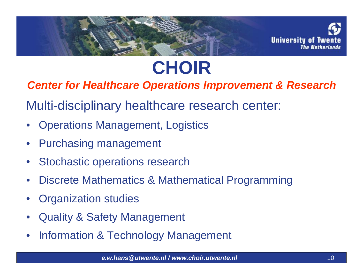

# **CHOIR**

*Center for Healthcare Operations Improvement & Research*

Multi-disciplinary healthcare research center:

- Operations Management, Logistics
- Purchasing management
- Stochastic operations research
- Discrete Mathematics & Mathematical Programming
- Organization studies
- Quality & Safety Management
- Information & Technology Management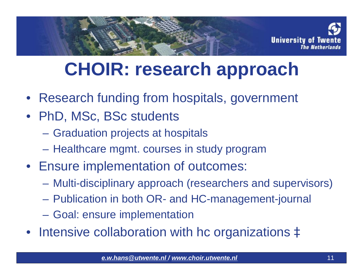

# **CHOIR: research approach**

- Research funding from hospitals, government
- PhD, MSc, BSc students
	- Graduation projects at hospitals
	- Healthcare mgmt. courses in study program
- Ensure implementation of outcomes:
	- Multi-disciplinary approach (researchers and supervisors)
	- Publication in both OR- and HC-management-journal
	- Goal: ensure implementation
- Intensive collaboration with hc organizations à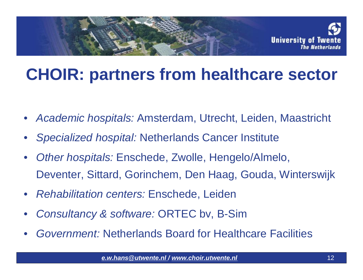

#### **CHOIR: partners from healthcare sector**

- *Academic hospitals:* Amsterdam, Utrecht, Leiden, Maastricht
- *Specialized hospital:* Netherlands Cancer Institute
- *Other hospitals:* Enschede, Zwolle, Hengelo/Almelo, Deventer, Sittard, Gorinchem, Den Haag, Gouda, Winterswijk
- *Rehabilitation centers:* Enschede, Leiden
- *Consultancy & software:* ORTEC bv, B-Sim
- *Government:* Netherlands Board for Healthcare Facilities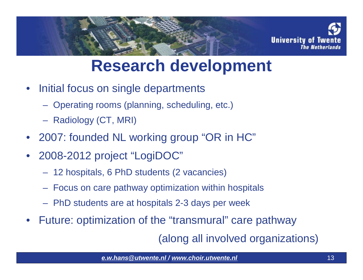

#### **Research development**

- Initial focus on single departments
	- Operating rooms (planning, scheduling, etc.)
	- Radiology (CT, MRI)
- 2007: founded NL working group "OR in HC"
- 2008-2012 project "LogiDOC"
	- 12 hospitals, 6 PhD students (2 vacancies)
	- Focus on care pathway optimization within hospitals
	- PhD students are at hospitals 2-3 days per week
- Future: optimization of the "transmural" care pathway

(along all involved organizations)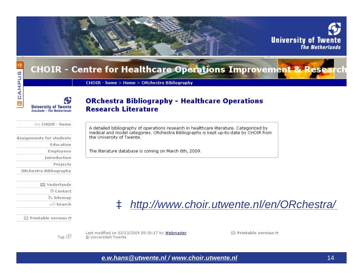|                                                                | <b>University of Twente</b><br><b>The Netherlands</b>                                                              |  |  |  |  |
|----------------------------------------------------------------|--------------------------------------------------------------------------------------------------------------------|--|--|--|--|
|                                                                | <b>CHOIR - Centre for Healthcare Operations Improvement &amp; Rese</b>                                             |  |  |  |  |
| AMPUS                                                          | CHOIR - home > Home > ORchestra Bibliography                                                                       |  |  |  |  |
| o<br><b>University of Twente</b><br>Enschede - The Netherlands | <b>ORchestra Bibliography - Healthcare Operations</b><br><b>Research Literature</b>                                |  |  |  |  |
| $<<$ CHOIR - home                                              | A detailed bibliography of operations research in healthcare literature. Categorized by                            |  |  |  |  |
| Assignments for students<br>Education                          | medical and model categories. ORchestra Bibliography is kept up-to-date by CHOIR from<br>the University of Twente. |  |  |  |  |
| <b>Employees</b>                                               | The literature database is coming on March 6th, 2009.                                                              |  |  |  |  |
| Introduction                                                   |                                                                                                                    |  |  |  |  |
| Projects                                                       |                                                                                                                    |  |  |  |  |
| ORchestra Bibliography                                         |                                                                                                                    |  |  |  |  |
| Nederlands                                                     |                                                                                                                    |  |  |  |  |
| © Contact                                                      |                                                                                                                    |  |  |  |  |
| a Sitemap                                                      |                                                                                                                    |  |  |  |  |
| $\sim$ Search                                                  | à http://www.choir.utwente.nl/en/ORchestra/                                                                        |  |  |  |  |
| ⊖ Printable version □                                          |                                                                                                                    |  |  |  |  |
| Top ①                                                          | Last modified on 02/13/2009 09:30:17 by Webmaster<br>□ Printable version □<br>© Universiteit Twente                |  |  |  |  |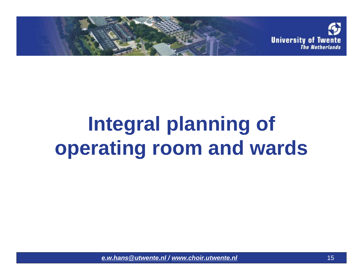

# **Integral planning of operating room and wards**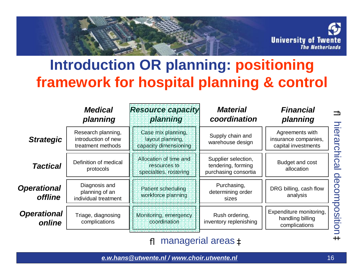

#### **Introduction OR planning: positioning framework for hospital planning & control**

|                                      | <b>Medical</b><br>planning                                     | <b>Resource capacity</b><br>planning                             | <b>Material</b><br>coordination                                   | <b>Financial</b><br>planning                                   |
|--------------------------------------|----------------------------------------------------------------|------------------------------------------------------------------|-------------------------------------------------------------------|----------------------------------------------------------------|
| <b>Strategic</b>                     | Research planning,<br>introduction of new<br>treatment methods | Case mix planning,<br>layout planning.<br>capacity dimensioning  | Supply chain and<br>warehouse design                              | Agreements with<br>insurance companies,<br>capital investments |
| <b>Tactical</b>                      | Definition of medical<br>protocols                             | Allocation of time and<br>resources to<br>specialties, rostering | Supplier selection,<br>tendering, forming<br>purchasing consortia | Budget and cost<br>allocation                                  |
| <b>Operational</b><br><b>offline</b> | Diagnosis and<br>planning of an<br>individual treatment        | Patient scheduling<br>workforce planning                         | Purchasing,<br>determining order<br>sizes                         | DRG billing, cash flow<br>analysis                             |
| <b>Operational</b><br>online         | Triage, diagnosing<br>complications                            | Monitoring, emergency<br>coordination                            | Rush ordering,<br>inventory replenishing                          | Expenditure monitoring,<br>handling billing<br>complications   |

ß managerial areas à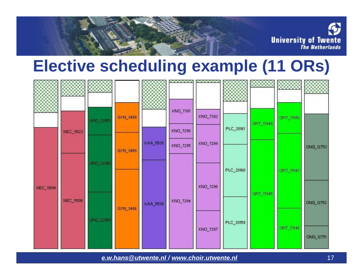

#### **Elective scheduling example (11 ORs)**

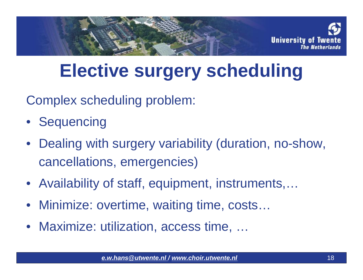

# **Elective surgery scheduling**

Complex scheduling problem:

- Sequencing
- Dealing with surgery variability (duration, no-show, cancellations, emergencies)
- Availability of staff, equipment, instruments,…
- Minimize: overtime, waiting time, costs…
- Maximize: utilization, access time, ...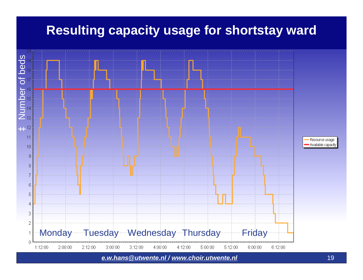#### **Resulting capacity usage for shortstay ward**

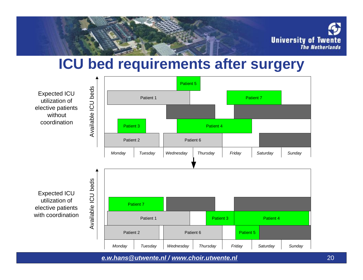

#### **ICU bed requirements after surgery**

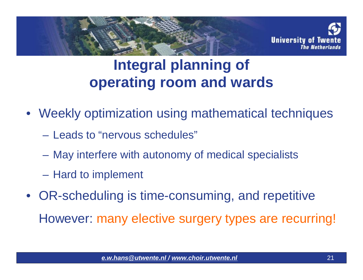

#### **Integral planning of operating room and wards**

- Weekly optimization using mathematical techniques
	- Leads to "nervous schedules"
	- May interfere with autonomy of medical specialists
	- Hard to implement
- OR-scheduling is time-consuming, and repetitive However: many elective surgery types are recurring!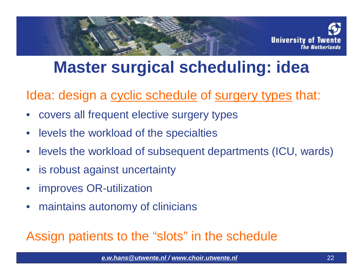

### **Master surgical scheduling: idea**

Idea: design a cyclic schedule of surgery types that:

- covers all frequent elective surgery types
- levels the workload of the specialties
- levels the workload of subsequent departments (ICU, wards)
- is robust against uncertainty
- improves OR-utilization
- maintains autonomy of clinicians

#### Assign patients to the "slots" in the schedule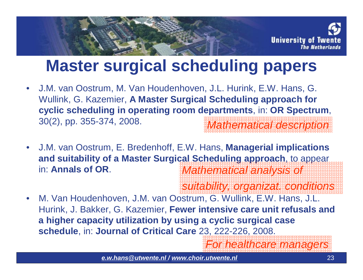

#### **Master surgical scheduling papers**

- J.M. van Oostrum, M. Van Houdenhoven, J.L. Hurink, E.W. Hans, G. Wullink, G. Kazemier, **A Master Surgical Scheduling approach for cyclic scheduling in operating room departments**, in: **OR Spectrum**, 30(2), pp. 355-374, 2008. *Mathematical description*
- J.M. van Oostrum, E. Bredenhoff, E.W. Hans, **Managerial implications and suitability of a Master Surgical Scheduling approach**, to appear in: **Annals of OR**. *Mathematical analysis of*

*suitability, organizat. conditions*

• M. Van Houdenhoven, J.M. van Oostrum, G. Wullink, E.W. Hans, J.L. Hurink, J. Bakker, G. Kazemier, **Fewer intensive care unit refusals and a higher capacity utilization by using a cyclic surgical case schedule**, in: **Journal of Critical Care** 23, 222-226, 2008.

*For healthcare managers*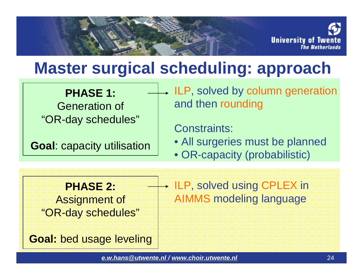

#### **Master surgical scheduling: approach**

**PHASE 1:** Generation of "OR-day schedules"

**Goal**: capacity utilisation

ILP, solved by column generation and then rounding

Constraints:

- All surgeries must be planned
- OR-capacity (probabilistic)

**PHASE 2:** Assignment of "OR-day schedules" ILP, solved using CPLEX in AIMMS modeling language

**Goal:** bed usage leveling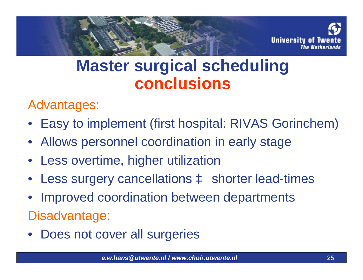

#### **Master surgical scheduling conclusions**

Advantages:

- Easy to implement (first hospital: RIVAS Gorinchem)
- Allows personnel coordination in early stage
- Less overtime, higher utilization
- Less surgery cancellations à shorter lead-times
- Improved coordination between departments

Disadvantage:

• Does not cover all surgeries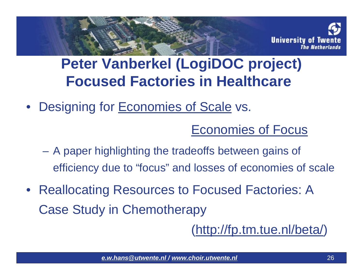

#### **Peter Vanberkel (LogiDOC project) Focused Factories in Healthcare**

• Designing for **Economies of Scale vs.** 

Economies of Focus

- A paper highlighting the tradeoffs between gains of efficiency due to "focus" and losses of economies of scale
- Reallocating Resources to Focused Factories: A Case Study in Chemotherapy

([http://fp.tm.tue.nl/beta/\)](http://fp.tm.tue.nl/beta/)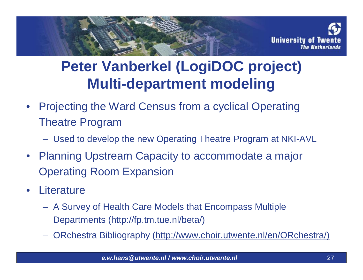

#### **Peter Vanberkel (LogiDOC project) Multi-department modeling**

- Projecting the Ward Census from a cyclical Operating Theatre Program
	- Used to develop the new Operating Theatre Program at NKI-AVL
- Planning Upstream Capacity to accommodate a major Operating Room Expansion
- Literature
	- A Survey of Health Care Models that Encompass Multiple Departments ([http://fp.tm.tue.nl/beta/\)](http://fp.tm.tue.nl/beta/))
	- ORchestra Bibliography [\(http://www.choir.utwente.nl/en/ORchestra/\)](http://www.choir.utwente.nl/en/ORchestra/))